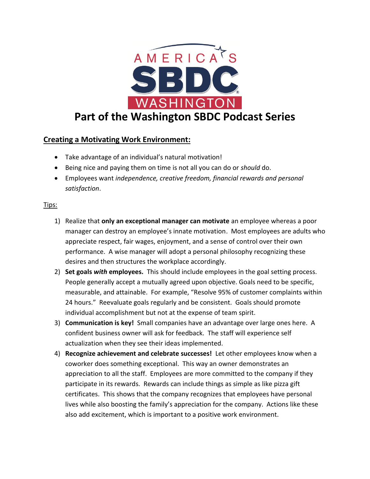

## **Creating a Motivating Work Environment:**

- Take advantage of an individual's natural motivation!
- Being nice and paying them on time is not all you can do or *should* do.
- Employees want *independence, creative freedom, financial rewards and personal satisfaction*.

## Tips:

- 1) Realize that **only an exceptional manager can motivate** an employee whereas a poor manager can destroy an employee's innate motivation. Most employees are adults who appreciate respect, fair wages, enjoyment, and a sense of control over their own performance. A wise manager will adopt a personal philosophy recognizing these desires and then structures the workplace accordingly.
- 2) **Set goals** *with* **employees.** This should include employees in the goal setting process. People generally accept a mutually agreed upon objective. Goals need to be specific, measurable, and attainable. For example, "Resolve 95% of customer complaints within 24 hours." Reevaluate goals regularly and be consistent. Goals should promote individual accomplishment but not at the expense of team spirit.
- 3) **Communication is key!** Small companies have an advantage over large ones here. A confident business owner will ask for feedback. The staff will experience self actualization when they see their ideas implemented.
- 4) **Recognize achievement and celebrate successes!** Let other employees know when a coworker does something exceptional. This way an owner demonstrates an appreciation to all the staff. Employees are more committed to the company if they participate in its rewards. Rewards can include things as simple as like pizza gift certificates. This shows that the company recognizes that employees have personal lives while also boosting the family's appreciation for the company. Actions like these also add excitement, which is important to a positive work environment.